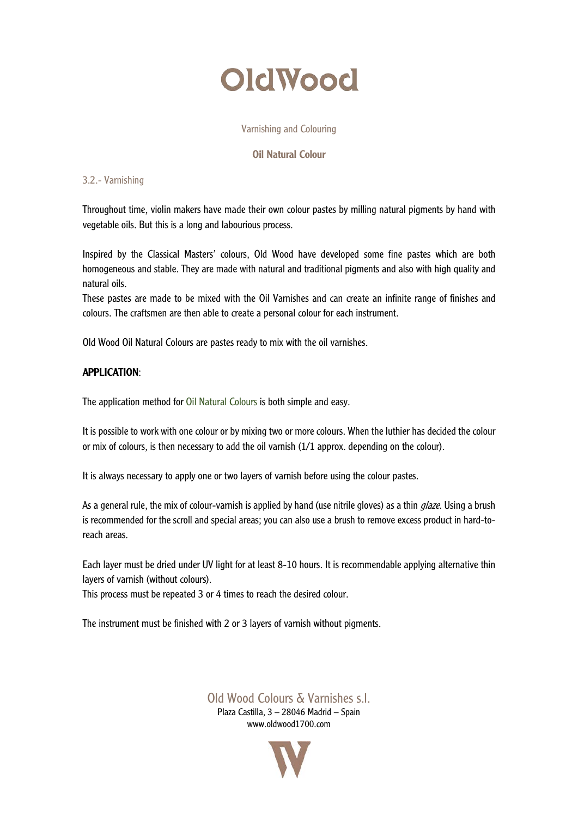# OldWood

#### Varnishing and Colouring

#### Oil Natural Colour

## 3.2.- Varnishing

Throughout time, violin makers have made their own colour pastes by milling natural pigments by hand with vegetable oils. But this is a long and labourious process.

Inspired by the Classical Masters' colours, Old Wood have developed some fine pastes which are both homogeneous and stable. They are made with natural and traditional pigments and also with high quality and natural oils.

These pastes are made to be mixed with the Oil Varnishes and can create an infinite range of finishes and colours. The craftsmen are then able to create a personal colour for each instrument.

Old Wood Oil Natural Colours are pastes ready to mix with the oil varnishes.

## APPLICATION:

The application method for Oil Natural Colours is both simple and easy.

It is possible to work with one colour or by mixing two or more colours. When the luthier has decided the colour or mix of colours, is then necessary to add the oil varnish (1/1 approx. depending on the colour).

It is always necessary to apply one or two layers of varnish before using the colour pastes.

As a general rule, the mix of colour-varnish is applied by hand (use nitrile gloves) as a thin *glaze*. Using a brush is recommended for the scroll and special areas; you can also use a brush to remove excess product in hard-toreach areas.

Each layer must be dried under UV light for at least 8-10 hours. It is recommendable applying alternative thin layers of varnish (without colours).

This process must be repeated 3 or 4 times to reach the desired colour.

The instrument must be finished with 2 or 3 layers of varnish without pigments.

## Old Wood Colours & Varnishes s.l. Plaza Castilla, 3 – 28046 Madrid – Spain

www.oldwood1700.com